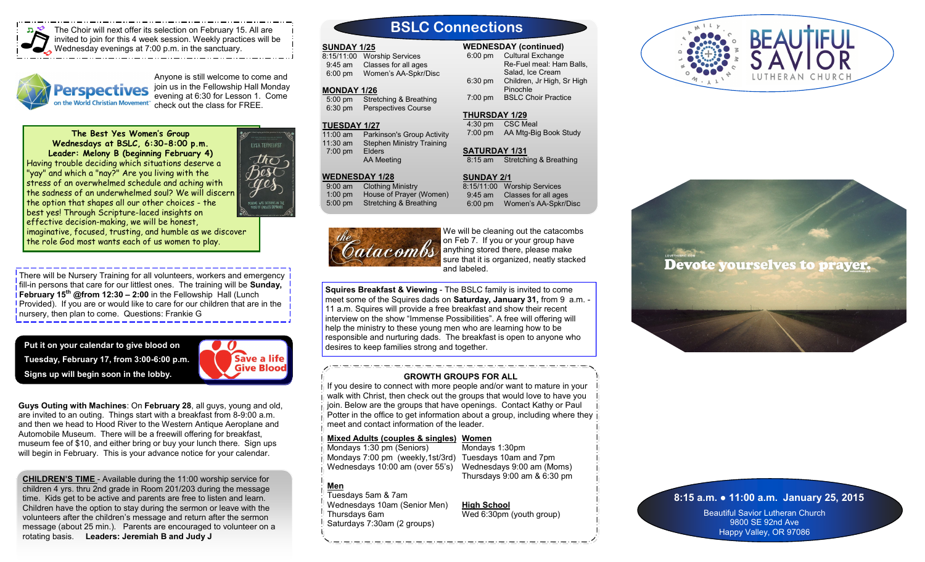

The Choir will next offer its selection on February 15. All are invited to join for this 4 week session. Weekly practices will be Wednesday evenings at 7:00 p.m. in the sanctuary.



Anyone is still welcome to come and join us in the Fellowship Hall Monday **Perspectives** evening at 6:30 for Lesson 1. Come on the World Christian Movement" check out the class for FREE.

**The Best Yes Women's Group Wednesdays at BSLC, 6:30-8:00 p.m. Leader: Melony B (beginning February 4)** Having trouble deciding which situations deserve a "yay" and which a "nay?" Are you living with the stress of an overwhelmed schedule and aching with the sadness of an underwhelmed soul? We will discern the option that shapes all our other choices - the best yes! Through Scripture-laced insights on effective decision-making, we will be honest,

imaginative, focused, trusting, and humble as we discover the role God most wants each of us women to play.

There will be Nursery Training for all volunteers, workers and emergency fill-in persons that care for our littlest ones. The training will be **Sunday, February 15th @from 12:30 – 2:00** in the Fellowship Hall (Lunch Provided). If you are or would like to care for our children that are in the nursery, then plan to come. Questions: Frankie G

**Put it on your calendar to give blood on Tuesday, February 17, from 3:00-6:00 p.m. Signs up will begin soon in the lobby.**



**Guys Outing with Machines**: On **February 28**, all guys, young and old, are invited to an outing. Things start with a breakfast from 8-9:00 a.m. and then we head to Hood River to the Western Antique Aeroplane and Automobile Museum. There will be a freewill offering for breakfast, museum fee of \$10, and either bring or buy your lunch there. Sign ups will begin in February. This is your advance notice for your calendar.

**CHILDREN'S TIME** - Available during the 11:00 worship service for children 4 yrs. thru 2nd grade in Room 201/203 during the message time. Kids get to be active and parents are free to listen and learn. Children have the option to stay during the sermon or leave with the volunteers after the children's message and return after the sermon message (about 25 min.). Parents are encouraged to volunteer on a rotating basis. **Leaders: Jeremiah B and Judy J**

# **BSLC Connections**

#### **SUNDAY 1/25**

8:15/11:00 Worship Services 9:45 am Classes for all ages 6:00 pm Women's AA-Spkr/Disc

## **MONDAY 1/26**

 5:00 pm Stretching & Breathing 6:30 pm Perspectives Course

## **TUESDAY 1/27**

11:00 am Parkinson's Group Activity 11:30 am Stephen Ministry Training 7:00 pm Elders AA Meeting

## **WEDNESDAY 1/28**

 9:00 am Clothing Ministry 1:00 pm House of Prayer (Women) 5:00 pm Stretching & Breathing



We will be cleaning out the catacombs on Feb 7. If you or your group have anything stored there, please make sure that it is organized, neatly stacked and labeled.

6:00 pm Cultural Exchange

**WEDNESDAY (continued)**

7:00 pm AA Mtg-Big Book Study

8:15 am Stretching & Breathing

Women's AA-Spkr/Disc

8:15/11:00 Worship Services 9:45 am Classes for all ages<br>6:00 pm Women's AA-Spkr/D

**THURSDAY 1/29** 4:30 pm CSC Meal

**SATURDAY 1/31**

**SUNDAY 2/1**

 Re-Fuel meal: Ham Balls, Salad, Ice Cream 6:30 pm Children, Jr High, Sr High Pinochle 7:00 pm BSLC Choir Practice

**Squires Breakfast & Viewing** - The BSLC family is invited to come meet some of the Squires dads on **Saturday, January 31,** from 9 a.m. - 11 a.m. Squires will provide a free breakfast and show their recent interview on the show "Immense Possibilities". A free will offering will help the ministry to these young men who are learning how to be responsible and nurturing dads. The breakfast is open to anyone who desires to keep families strong and together.

## **GROWTH GROUPS FOR ALL**

If you desire to connect with more people and/or want to mature in your walk with Christ, then check out the groups that would love to have you join. Below are the groups that have openings. Contact Kathy or Paul Potter in the office to get information about a group, including where they meet and contact information of the leader.

### **Mixed Adults (couples & singles) Women**

Mondays 1:30 pm (Seniors) Mondays 7:00 pm (weekly,1st/3rd) Tuesdays 10am and 7pm Wednesdays 10:00 am (over 55's)

Mondays 1:30pm Wednesdays 9:00 am (Moms) Thursdays 9:00 am & 6:30 pm

## **Men**

Tuesdays 5am & 7am Wednesdays 10am (Senior Men) Thursdays 6am Saturdays 7:30am (2 groups)

**High School** Wed 6:30pm (youth group)





## **8:15 a.m. ● 11:00 a.m. January 25, 2015**

Beautiful Savior Lutheran Church 9800 SE 92nd Ave Happy Valley, OR 97086